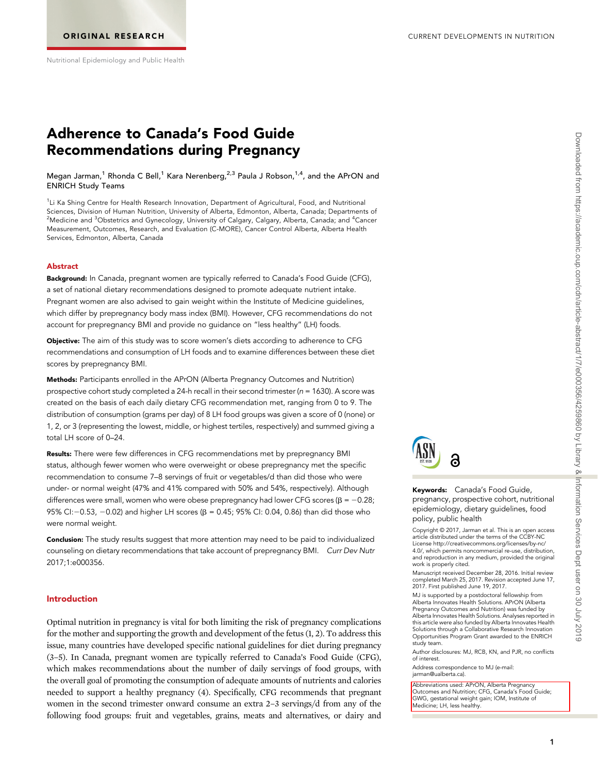# Adherence to Canada's Food Guide Recommendations during Pregnancy

Megan Jarman,<sup>1</sup> Rhonda C Bell,<sup>1</sup> Kara Nerenberg,<sup>2,3</sup> Paula J Robson,<sup>1,4</sup>, and the APrON and ENRICH Study Teams

<sup>1</sup>Li Ka Shing Centre for Health Research Innovation, Department of Agricultural, Food, and Nutritional Sciences, Division of Human Nutrition, University of Alberta, Edmonton, Alberta, Canada; Departments of  $^2$ Medicine and  $^3$ Obstetrics and Gynecology, University of Calgary, Calgary, Alberta, Canada; and  $^4$ Cancer Measurement, Outcomes, Research, and Evaluation (C-MORE), Cancer Control Alberta, Alberta Health Services, Edmonton, Alberta, Canada

#### Abstract

Background: In Canada, pregnant women are typically referred to Canada's Food Guide (CFG), a set of national dietary recommendations designed to promote adequate nutrient intake. Pregnant women are also advised to gain weight within the Institute of Medicine guidelines, which differ by prepregnancy body mass index (BMI). However, CFG recommendations do not account for prepregnancy BMI and provide no guidance on "less healthy" (LH) foods.

**Objective:** The aim of this study was to score women's diets according to adherence to CFG recommendations and consumption of LH foods and to examine differences between these diet scores by prepregnancy BMI.

Methods: Participants enrolled in the APrON (Alberta Pregnancy Outcomes and Nutrition) prospective cohort study completed a 24-h recall in their second trimester ( $n = 1630$ ). A score was created on the basis of each daily dietary CFG recommendation met, ranging from 0 to 9. The distribution of consumption (grams per day) of 8 LH food groups was given a score of 0 (none) or 1, 2, or 3 (representing the lowest, middle, or highest tertiles, respectively) and summed giving a total LH score of 0–24.

Results: There were few differences in CFG recommendations met by prepregnancy BMI status, although fewer women who were overweight or obese prepregnancy met the specific recommendation to consume 7–8 servings of fruit or vegetables/d than did those who were under- or normal weight (47% and 41% compared with 50% and 54%, respectively). Although differences were small, women who were obese prepregnancy had lower CFG scores ( $\beta = -0.28$ ; 95% CI: $-0.53$ ,  $-0.02$ ) and higher LH scores ( $\beta$  = 0.45; 95% CI: 0.04, 0.86) than did those who were normal weight.

**Conclusion:** The study results suggest that more attention may need to be paid to individualized counseling on dietary recommendations that take account of prepregnancy BMI. Curr Dev Nutr 2017;1:e000356.

### Introduction

Optimal nutrition in pregnancy is vital for both limiting the risk of pregnancy complications for the mother and supporting the growth and development of the fetus (1, 2). To address this issue, many countries have developed specific national guidelines for diet during pregnancy (3–5). In Canada, pregnant women are typically referred to Canada's Food Guide (CFG), which makes recommendations about the number of daily servings of food groups, with the overall goal of promoting the consumption of adequate amounts of nutrients and calories needed to support a healthy pregnancy (4). Specifically, CFG recommends that pregnant women in the second trimester onward consume an extra 2–3 servings/d from any of the following food groups: fruit and vegetables, grains, meats and alternatives, or dairy and



Keywords: Canada's Food Guide, pregnancy, prospective cohort, nutritional epidemiology, dietary guidelines, food policy, public health

Copyright © 2017, Jarman et al. This is an open access article distributed under the terms of the CCBY-NC License http://creativecommons.org/licenses/by-nc/ 4.0/, which permits noncommercial re-use, distribution, and reproduction in any medium, provided the original work is properly cited.

Manuscript received December 28, 2016. Initial review completed March 25, 2017. Revision accepted June 17, 2017. First published June 19, 2017.

MJ is supported by a postdoctoral fellowship from Alberta Innovates Health Solutions. APrON (Alberta Pregnancy Outcomes and Nutrition) was funded by Alberta Innovates Health Solutions. Analyses reported in this article were also funded by Alberta Innovates Health Solutions through a Collaborative Research Innovation Opportunities Program Grant awarded to the ENRICH study team.

Author disclosures: MJ, RCB, KN, and PJR, no conflicts of interest.

Address correspondence to MJ (e-mail: jarman@ualberta.ca).

Abbreviations used: APrON, Alberta Pregnancy Outcomes and Nutrition; CFG, Canada's Food Guide; GWG, gestational weight gain; IOM, Institute of Medicine; LH, less healthy.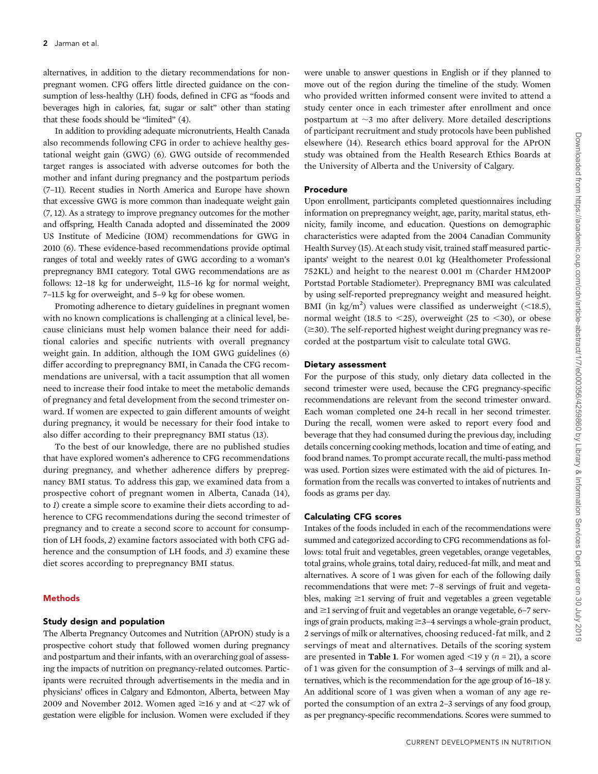alternatives, in addition to the dietary recommendations for nonpregnant women. CFG offers little directed guidance on the consumption of less-healthy (LH) foods, defined in CFG as "foods and beverages high in calories, fat, sugar or salt" other than stating that these foods should be "limited" (4).

In addition to providing adequate micronutrients, Health Canada also recommends following CFG in order to achieve healthy gestational weight gain (GWG) (6). GWG outside of recommended target ranges is associated with adverse outcomes for both the mother and infant during pregnancy and the postpartum periods (7–11). Recent studies in North America and Europe have shown that excessive GWG is more common than inadequate weight gain (7, 12). As a strategy to improve pregnancy outcomes for the mother and offspring, Health Canada adopted and disseminated the 2009 US Institute of Medicine (IOM) recommendations for GWG in 2010 (6). These evidence-based recommendations provide optimal ranges of total and weekly rates of GWG according to a woman's prepregnancy BMI category. Total GWG recommendations are as follows: 12–18 kg for underweight, 11.5–16 kg for normal weight, 7–11.5 kg for overweight, and 5–9 kg for obese women.

Promoting adherence to dietary guidelines in pregnant women with no known complications is challenging at a clinical level, because clinicians must help women balance their need for additional calories and specific nutrients with overall pregnancy weight gain. In addition, although the IOM GWG guidelines (6) differ according to prepregnancy BMI, in Canada the CFG recommendations are universal, with a tacit assumption that all women need to increase their food intake to meet the metabolic demands of pregnancy and fetal development from the second trimester onward. If women are expected to gain different amounts of weight during pregnancy, it would be necessary for their food intake to also differ according to their prepregnancy BMI status (13).

To the best of our knowledge, there are no published studies that have explored women's adherence to CFG recommendations during pregnancy, and whether adherence differs by prepregnancy BMI status. To address this gap, we examined data from a prospective cohort of pregnant women in Alberta, Canada (14), to 1) create a simple score to examine their diets according to adherence to CFG recommendations during the second trimester of pregnancy and to create a second score to account for consumption of LH foods, 2) examine factors associated with both CFG adherence and the consumption of LH foods, and 3) examine these diet scores according to prepregnancy BMI status.

# Methods

### Study design and population

The Alberta Pregnancy Outcomes and Nutrition (APrON) study is a prospective cohort study that followed women during pregnancy and postpartum and their infants, with an overarching goal of assessing the impacts of nutrition on pregnancy-related outcomes. Participants were recruited through advertisements in the media and in physicians' offices in Calgary and Edmonton, Alberta, between May 2009 and November 2012. Women aged  $\geq$ 16 y and at <27 wk of gestation were eligible for inclusion. Women were excluded if they were unable to answer questions in English or if they planned to move out of the region during the timeline of the study. Women who provided written informed consent were invited to attend a study center once in each trimester after enrollment and once postpartum at  $\sim$ 3 mo after delivery. More detailed descriptions of participant recruitment and study protocols have been published elsewhere (14). Research ethics board approval for the APrON study was obtained from the Health Research Ethics Boards at the University of Alberta and the University of Calgary.

#### Procedure

Upon enrollment, participants completed questionnaires including information on prepregnancy weight, age, parity, marital status, ethnicity, family income, and education. Questions on demographic characteristics were adapted from the 2004 Canadian Community Health Survey (15). At each study visit, trained staff measured participants' weight to the nearest 0.01 kg (Healthometer Professional 752KL) and height to the nearest 0.001 m (Charder HM200P Portstad Portable Stadiometer). Prepregnancy BMI was calculated by using self-reported prepregnancy weight and measured height. BMI (in  $\text{kg/m}^2$ ) values were classified as underweight (<18.5), normal weight (18.5 to  $\lt$ 25), overweight (25 to  $\lt$ 30), or obese  $(\geq 30)$ . The self-reported highest weight during pregnancy was recorded at the postpartum visit to calculate total GWG.

#### Dietary assessment

For the purpose of this study, only dietary data collected in the second trimester were used, because the CFG pregnancy-specific recommendations are relevant from the second trimester onward. Each woman completed one 24-h recall in her second trimester. During the recall, women were asked to report every food and beverage that they had consumed during the previous day, including details concerning cooking methods, location and time of eating, and food brand names. To prompt accurate recall, the multi-pass method was used. Portion sizes were estimated with the aid of pictures. Information from the recalls was converted to intakes of nutrients and foods as grams per day.

## Calculating CFG scores

Intakes of the foods included in each of the recommendations were summed and categorized according to CFG recommendations as follows: total fruit and vegetables, green vegetables, orange vegetables, total grains, whole grains, total dairy, reduced-fat milk, and meat and alternatives. A score of 1 was given for each of the following daily recommendations that were met: 7–8 servings of fruit and vegetables, making  $\geq$ 1 serving of fruit and vegetables a green vegetable and  $\geq$ 1 serving of fruit and vegetables an orange vegetable, 6–7 servings of grain products, making  $\geq$  3–4 servings a whole-grain product, 2 servings of milk or alternatives, choosing reduced-fat milk, and 2 servings of meat and alternatives. Details of the scoring system are presented in **Table 1.** For women aged  $\langle 19 \text{ y } (n = 21) \rangle$ , a score of 1 was given for the consumption of 3–4 servings of milk and alternatives, which is the recommendation for the age group of 16–18 y. An additional score of 1 was given when a woman of any age reported the consumption of an extra 2–3 servings of any food group, as per pregnancy-specific recommendations. Scores were summed to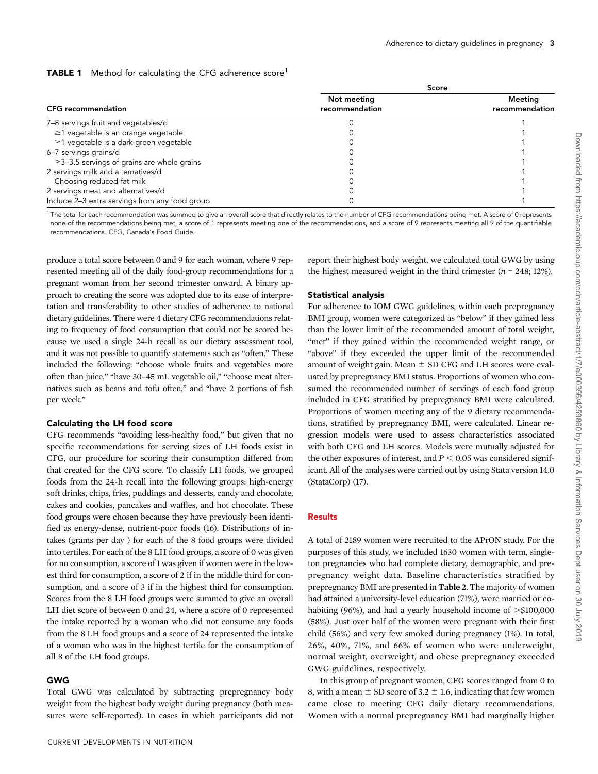|  | <b>TABLE 1</b> Method for calculating the CFG adherence score <sup>1</sup> |  |  |  |  |  |
|--|----------------------------------------------------------------------------|--|--|--|--|--|
|--|----------------------------------------------------------------------------|--|--|--|--|--|

|                                                  | Score                         |                           |  |  |  |
|--------------------------------------------------|-------------------------------|---------------------------|--|--|--|
| <b>CFG</b> recommendation                        | Not meeting<br>recommendation | Meeting<br>recommendation |  |  |  |
| 7-8 servings fruit and vegetables/d              |                               |                           |  |  |  |
| $\geq$ 1 vegetable is an orange vegetable        |                               |                           |  |  |  |
| $\geq$ 1 vegetable is a dark-green vegetable     |                               |                           |  |  |  |
| 6-7 servings grains/d                            |                               |                           |  |  |  |
| $\geq$ 3-3.5 servings of grains are whole grains |                               |                           |  |  |  |
| 2 servings milk and alternatives/d               |                               |                           |  |  |  |
| Choosing reduced-fat milk                        |                               |                           |  |  |  |
| 2 servings meat and alternatives/d               |                               |                           |  |  |  |
| Include 2-3 extra servings from any food group   |                               |                           |  |  |  |

<sup>1</sup>The total for each recommendation was summed to give an overall score that directly relates to the number of CFG recommendations being met. A score of 0 represents none of the recommendations being met, a score of 1 represents meeting one of the recommendations, and a score of 9 represents meeting all 9 of the quantifiable recommendations. CFG, Canada's Food Guide.

produce a total score between 0 and 9 for each woman, where 9 represented meeting all of the daily food-group recommendations for a pregnant woman from her second trimester onward. A binary approach to creating the score was adopted due to its ease of interpretation and transferability to other studies of adherence to national dietary guidelines. There were 4 dietary CFG recommendations relating to frequency of food consumption that could not be scored because we used a single 24-h recall as our dietary assessment tool, and it was not possible to quantify statements such as "often." These included the following: "choose whole fruits and vegetables more often than juice," "have 30–45 mL vegetable oil," "choose meat alternatives such as beans and tofu often," and "have 2 portions of fish per week."

# Calculating the LH food score

CFG recommends "avoiding less-healthy food," but given that no specific recommendations for serving sizes of LH foods exist in CFG, our procedure for scoring their consumption differed from that created for the CFG score. To classify LH foods, we grouped foods from the 24-h recall into the following groups: high-energy soft drinks, chips, fries, puddings and desserts, candy and chocolate, cakes and cookies, pancakes and waffles, and hot chocolate. These food groups were chosen because they have previously been identified as energy-dense, nutrient-poor foods (16). Distributions of intakes (grams per day ) for each of the 8 food groups were divided into tertiles. For each of the 8 LH food groups, a score of 0 was given for no consumption, a score of 1 was given if women were in the lowest third for consumption, a score of 2 if in the middle third for consumption, and a score of 3 if in the highest third for consumption. Scores from the 8 LH food groups were summed to give an overall LH diet score of between 0 and 24, where a score of 0 represented the intake reported by a woman who did not consume any foods from the 8 LH food groups and a score of 24 represented the intake of a woman who was in the highest tertile for the consumption of all 8 of the LH food groups.

# GWG

Total GWG was calculated by subtracting prepregnancy body weight from the highest body weight during pregnancy (both measures were self-reported). In cases in which participants did not

report their highest body weight, we calculated total GWG by using the highest measured weight in the third trimester  $(n = 248; 12\%)$ .

# Statistical analysis

For adherence to IOM GWG guidelines, within each prepregnancy BMI group, women were categorized as "below" if they gained less than the lower limit of the recommended amount of total weight, "met" if they gained within the recommended weight range, or "above" if they exceeded the upper limit of the recommended amount of weight gain. Mean  $\pm$  SD CFG and LH scores were evaluated by prepregnancy BMI status. Proportions of women who consumed the recommended number of servings of each food group included in CFG stratified by prepregnancy BMI were calculated. Proportions of women meeting any of the 9 dietary recommendations, stratified by prepregnancy BMI, were calculated. Linear regression models were used to assess characteristics associated with both CFG and LH scores. Models were mutually adjusted for the other exposures of interest, and  $P < 0.05$  was considered significant. All of the analyses were carried out by using Stata version 14.0 (StataCorp) (17).

# **Results**

A total of 2189 women were recruited to the APrON study. For the purposes of this study, we included 1630 women with term, singleton pregnancies who had complete dietary, demographic, and prepregnancy weight data. Baseline characteristics stratified by prepregnancy BMI are presented in Table 2. The majority of women had attained a university-level education (71%), were married or cohabiting (96%), and had a yearly household income of  $>$ \$100,000 (58%). Just over half of the women were pregnant with their first child (56%) and very few smoked during pregnancy (1%). In total, 26%, 40%, 71%, and 66% of women who were underweight, normal weight, overweight, and obese prepregnancy exceeded GWG guidelines, respectively.

In this group of pregnant women, CFG scores ranged from 0 to 8, with a mean  $\pm$  SD score of 3.2  $\pm$  1.6, indicating that few women came close to meeting CFG daily dietary recommendations. Women with a normal prepregnancy BMI had marginally higher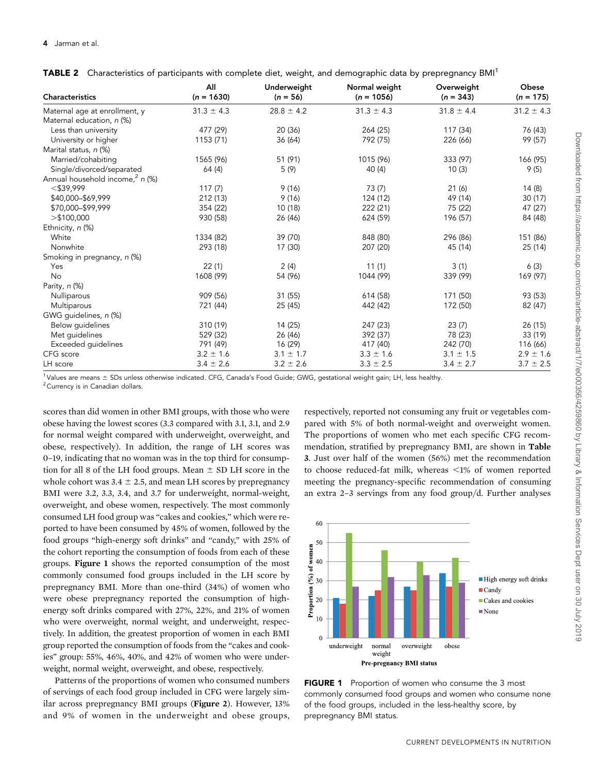| Characteristics                             | All<br>$(n = 1630)$ | Underweight<br>$(n = 56)$ | Normal weight<br>$(n = 1056)$ | Overweight<br>$(n = 343)$ | Obese<br>$(n = 175)$ |
|---------------------------------------------|---------------------|---------------------------|-------------------------------|---------------------------|----------------------|
| Maternal age at enrollment, y               | $31.3 \pm 4.3$      | $28.8 \pm 4.2$            | $31.3 \pm 4.3$                | $31.8 \pm 4.4$            | $31.2 \pm 4.3$       |
| Maternal education, n (%)                   |                     |                           |                               |                           |                      |
| Less than university                        | 477 (29)            | 20 (36)                   | 264 (25)                      | 117 (34)                  | 76 (43)              |
| University or higher                        | 1153 (71)           | 36 (64)                   | 792 (75)                      | 226 (66)                  | 99 (57)              |
| Marital status, n (%)                       |                     |                           |                               |                           |                      |
| Married/cohabiting                          | 1565 (96)           | 51 (91)                   | 1015 (96)                     | 333 (97)                  | 166 (95)             |
| Single/divorced/separated                   | 64 (4)              | 5(9)                      | 40 (4)                        | 10(3)                     | 9 (5)                |
| Annual household income, <sup>2</sup> n (%) |                     |                           |                               |                           |                      |
| $<$ \$39,999                                | 117(7)              | 9(16)                     | 73(7)                         | 21(6)                     | 14 (8)               |
| \$40,000-\$69,999                           | 212 (13)            | 9(16)                     | 124 (12)                      | 49 (14)                   | 30(17)               |
| \$70,000-\$99,999                           | 354 (22)            | 10(18)                    | 222 (21)                      | 75 (22)                   | 47 (27)              |
| $>$ \$100,000                               | 930 (58)            | 26 (46)                   | 624 (59)                      | 196 (57)                  | 84 (48)              |
| Ethnicity, n (%)                            |                     |                           |                               |                           |                      |
| White                                       | 1334 (82)           | 39 (70)                   | 848 (80)                      | 296 (86)                  | 151 (86)             |
| Nonwhite                                    | 293 (18)            | 17 (30)                   | 207 (20)                      | 45 (14)                   | 25 (14)              |
| Smoking in pregnancy, n (%)                 |                     |                           |                               |                           |                      |
| Yes                                         | 22(1)               | 2(4)                      | 11(1)                         | 3(1)                      | 6(3)                 |
| <b>No</b>                                   | 1608 (99)           | 54 (96)                   | 1044 (99)                     | 339 (99)                  | 169 (97)             |
| Parity, n (%)                               |                     |                           |                               |                           |                      |
| Nulliparous                                 | 909 (56)            | 31(55)                    | 614 (58)                      | 171 (50)                  | 93 (53)              |
| Multiparous                                 | 721 (44)            | 25 (45)                   | 442 (42)                      | 172 (50)                  | 82 (47)              |
| GWG guidelines, n (%)                       |                     |                           |                               |                           |                      |
| Below guidelines                            | 310 (19)            | 14 (25)                   | 247 (23)                      | 23(7)                     | 26 (15)              |
| Met guidelines                              | 529 (32)            | 26 (46)                   | 392 (37)                      | 78 (23)                   | 33 (19)              |
| Exceeded guidelines                         | 791 (49)            | 16 (29)                   | 417 (40)                      | 242 (70)                  | 116 (66)             |
| CFG score                                   | $3.2 \pm 1.6$       | $3.1 \pm 1.7$             | $3.3 \pm 1.6$                 | $3.1 \pm 1.5$             | $2.9 \pm 1.6$        |
| LH score                                    | $3.4 \pm 2.6$       | $3.2 \pm 2.6$             | $3.3 \pm 2.5$                 | $3.4 \pm 2.7$             | $3.7 \pm 2.5$        |

|  |  |  |  |  |  | TABLE 2 Characteristics of participants with complete diet, weight, and demographic data by prepregnancy BMI <sup>1</sup> |  |
|--|--|--|--|--|--|---------------------------------------------------------------------------------------------------------------------------|--|
|--|--|--|--|--|--|---------------------------------------------------------------------------------------------------------------------------|--|

 $^1$ Values are means  $\pm$  SDs unless otherwise indicated. CFG, Canada's Food Guide; GWG, gestational weight gain; LH, less healthy.

<sup>2</sup> Currency is in Canadian dollars.

scores than did women in other BMI groups, with those who were obese having the lowest scores (3.3 compared with 3.1, 3.1, and 2.9 for normal weight compared with underweight, overweight, and obese, respectively). In addition, the range of LH scores was 0–19, indicating that no woman was in the top third for consumption for all 8 of the LH food groups. Mean  $\pm$  SD LH score in the whole cohort was  $3.4 \pm 2.5$ , and mean LH scores by prepregnancy BMI were 3.2, 3.3, 3.4, and 3.7 for underweight, normal-weight, overweight, and obese women, respectively. The most commonly consumed LH food group was "cakes and cookies," which were reported to have been consumed by 45% of women, followed by the food groups "high-energy soft drinks" and "candy," with 25% of the cohort reporting the consumption of foods from each of these groups. Figure 1 shows the reported consumption of the most commonly consumed food groups included in the LH score by prepregnancy BMI. More than one-third (34%) of women who were obese prepregnancy reported the consumption of highenergy soft drinks compared with 27%, 22%, and 21% of women who were overweight, normal weight, and underweight, respectively. In addition, the greatest proportion of women in each BMI group reported the consumption of foods from the "cakes and cookies" group: 55%, 46%, 40%, and 42% of women who were underweight, normal weight, overweight, and obese, respectively.

Patterns of the proportions of women who consumed numbers of servings of each food group included in CFG were largely similar across prepregnancy BMI groups (Figure 2). However, 13% and 9% of women in the underweight and obese groups, respectively, reported not consuming any fruit or vegetables compared with 5% of both normal-weight and overweight women. The proportions of women who met each specific CFG recommendation, stratified by prepregnancy BMI, are shown in Table 3. Just over half of the women (56%) met the recommendation to choose reduced-fat milk, whereas  $\leq 1\%$  of women reported meeting the pregnancy-specific recommendation of consuming an extra 2–3 servings from any food group/d. Further analyses



FIGURE 1 Proportion of women who consume the 3 most commonly consumed food groups and women who consume none of the food groups, included in the less-healthy score, by prepregnancy BMI status.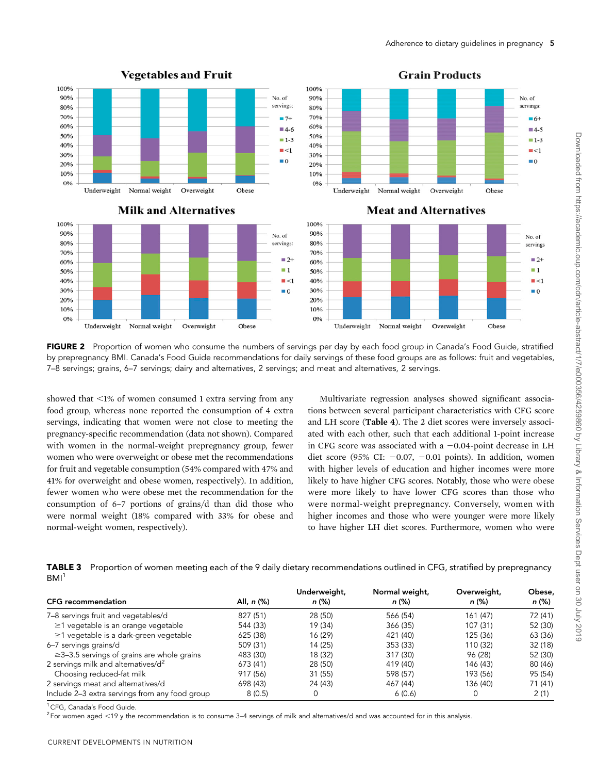





# FIGURE 2 Proportion of women who consume the numbers of servings per day by each food group in Canada's Food Guide, stratified by prepregnancy BMI. Canada's Food Guide recommendations for daily servings of these food groups are as follows: fruit and vegetables, 7–8 servings; grains, 6–7 servings; dairy and alternatives, 2 servings; and meat and alternatives, 2 servings.

showed that  $\leq$ 1% of women consumed 1 extra serving from any food group, whereas none reported the consumption of 4 extra servings, indicating that women were not close to meeting the pregnancy-specific recommendation (data not shown). Compared with women in the normal-weight prepregnancy group, fewer women who were overweight or obese met the recommendations for fruit and vegetable consumption (54% compared with 47% and 41% for overweight and obese women, respectively). In addition, fewer women who were obese met the recommendation for the consumption of 6–7 portions of grains/d than did those who were normal weight (18% compared with 33% for obese and normal-weight women, respectively).

Multivariate regression analyses showed significant associations between several participant characteristics with CFG score and LH score (Table 4). The 2 diet scores were inversely associated with each other, such that each additional 1-point increase in CFG score was associated with a  $-0.04$ -point decrease in LH diet score (95% CI:  $-0.07$ ,  $-0.01$  points). In addition, women with higher levels of education and higher incomes were more likely to have higher CFG scores. Notably, those who were obese were more likely to have lower CFG scores than those who were normal-weight prepregnancy. Conversely, women with higher incomes and those who were younger were more likely to have higher LH diet scores. Furthermore, women who were

**TABLE 3** Proportion of women meeting each of the 9 daily dietary recommendations outlined in CFG, stratified by prepregnancy  $BM<sup>1</sup>$ 

|                                                 |            | Underweight, | Normal weight, | Overweight, | Obese,  |
|-------------------------------------------------|------------|--------------|----------------|-------------|---------|
| <b>CFG</b> recommendation                       | All, n (%) | n (%)        | n (%)          | n (%)       | n (%)   |
| 7-8 servings fruit and vegetables/d             | 827 (51)   | 28 (50)      | 566 (54)       | 161 (47)    | 72 (41) |
| $\geq$ 1 vegetable is an orange vegetable       | 544 (33)   | 19 (34)      | 366 (35)       | 107 (31)    | 52 (30) |
| $\geq$ 1 vegetable is a dark-green vegetable    | 625 (38)   | 16 (29)      | 421 (40)       | 125 (36)    | 63 (36) |
| 6-7 servings grains/d                           | 509 (31)   | 14 (25)      | 353 (33)       | 110 (32)    | 32(18)  |
| $\ge$ 3-3.5 servings of grains are whole grains | 483 (30)   | 18 (32)      | 317 (30)       | 96 (28)     | 52 (30) |
| 2 servings milk and alternatives/d <sup>2</sup> | 673 (41)   | 28 (50)      | 419 (40)       | 146 (43)    | 80 (46) |
| Choosing reduced-fat milk                       | 917 (56)   | 31 (55)      | 598 (57)       | 193 (56)    | 95 (54) |
| 2 servings meat and alternatives/d              | 698 (43)   | 24 (43)      | 467 (44)       | 136 (40)    | 71 (41) |
| Include 2-3 extra servings from any food group  | 8(0.5)     | O            | 6(0.6)         |             | 2(1)    |

<sup>1</sup> CFG, Canada's Food Guide.

 $2$  For women aged <19 y the recommendation is to consume 3–4 servings of milk and alternatives/d and was accounted for in this analysis.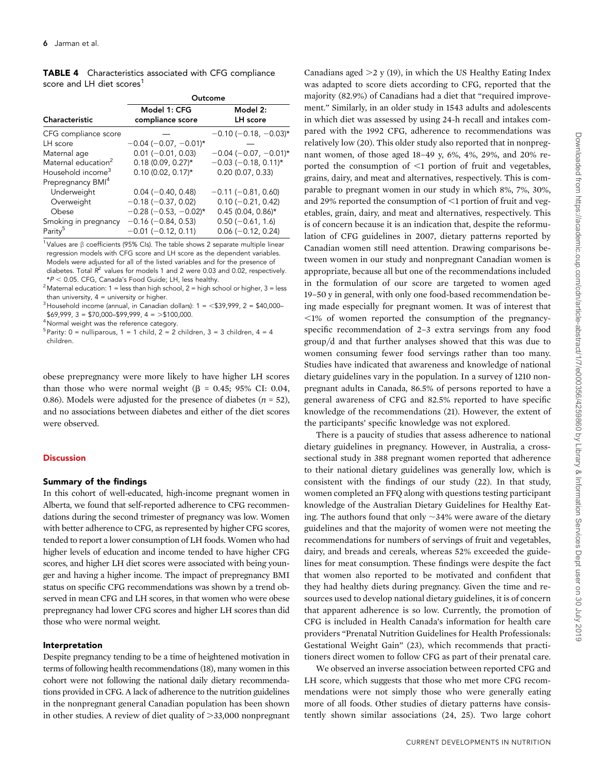| Outcome                         |                                          |                                          |  |  |
|---------------------------------|------------------------------------------|------------------------------------------|--|--|
| Characteristic                  | Model 1: CFG<br>compliance score         | Model 2:<br>LH score                     |  |  |
| CFG compliance score            |                                          | $-0.10$ ( $-0.18$ , $-0.03$ <sup>*</sup> |  |  |
| LH score                        | $-0.04$ ( $-0.07$ , $-0.01$ <sup>*</sup> |                                          |  |  |
| Maternal age                    | $0.01 (-0.01, 0.03)$                     | $-0.04$ ( $-0.07$ , $-0.01$ <sup>*</sup> |  |  |
| Maternal education <sup>2</sup> | $0.18(0.09, 0.27)$ *                     | $-0.03$ ( $-0.18$ , 0.11)*               |  |  |
| Household income <sup>3</sup>   | $0.10(0.02, 0.17)$ *                     | 0.20(0.07, 0.33)                         |  |  |
| Prepregnancy BMI <sup>4</sup>   |                                          |                                          |  |  |
| Underweight                     | $0.04 (-0.40, 0.48)$                     | $-0.11$ ( $-0.81$ , 0.60)                |  |  |
| Overweight                      | $-0.18(-0.37, 0.02)$                     | $0.10 (-0.21, 0.42)$                     |  |  |
| Obese                           | $-0.28$ (-0.53, -0.02)*                  | $0.45(0.04, 0.86)$ *                     |  |  |
| Smoking in pregnancy            | $-0.16$ ( $-0.84$ , 0.53)                | $0.50 (-0.61, 1.6)$                      |  |  |
| Parity <sup>5</sup>             | $-0.01(-0.12, 0.11)$                     | $0.06(-0.12, 0.24)$                      |  |  |

TABLE 4 Characteristics associated with CFG compliance score and LH diet scores<sup>1</sup>

<sup>1</sup>Values are β coefficients (95% CIs). The table shows 2 separate multiple linear regression models with CFG score and LH score as the dependent variables. Models were adjusted for all of the listed variables and for the presence of diabetes. Total  $R^2$  values for models 1 and 2 were 0.03 and 0.02, respectively.  $*P < 0.05$ . CFG, Canada's Food Guide; LH, less healthy.

<sup>2</sup> Maternal education: 1 = less than high school, 2 = high school or higher, 3 = less than university,  $4 =$  university or higher.

<sup>3</sup> Household income (annual, in Canadian dollars):  $1 =$  <\$39,999, 2 = \$40,000–  $$69,999, 3 = $70,000 - $99,999, 4 = $100,000.$ 

<sup>4</sup> Normal weight was the reference category.

 $5$ Parity: 0 = nulliparous, 1 = 1 child, 2 = 2 children, 3 = 3 children, 4 = 4 children.

obese prepregnancy were more likely to have higher LH scores than those who were normal weight ( $\beta$  = 0.45; 95% CI: 0.04, 0.86). Models were adjusted for the presence of diabetes  $(n = 52)$ , and no associations between diabetes and either of the diet scores were observed.

#### **Discussion**

#### Summary of the findings

In this cohort of well-educated, high-income pregnant women in Alberta, we found that self-reported adherence to CFG recommendations during the second trimester of pregnancy was low. Women with better adherence to CFG, as represented by higher CFG scores, tended to report a lower consumption of LH foods. Women who had higher levels of education and income tended to have higher CFG scores, and higher LH diet scores were associated with being younger and having a higher income. The impact of prepregnancy BMI status on specific CFG recommendations was shown by a trend observed in mean CFG and LH scores, in that women who were obese prepregnancy had lower CFG scores and higher LH scores than did those who were normal weight.

### Interpretation

Despite pregnancy tending to be a time of heightened motivation in terms of following health recommendations (18), many women in this cohort were not following the national daily dietary recommendations provided in CFG. A lack of adherence to the nutrition guidelines in the nonpregnant general Canadian population has been shown in other studies. A review of diet quality of  $>$ 33,000 nonpregnant Canadians aged  $>2$  y (19), in which the US Healthy Eating Index was adapted to score diets according to CFG, reported that the majority (82.9%) of Canadians had a diet that "required improvement." Similarly, in an older study in 1543 adults and adolescents in which diet was assessed by using 24-h recall and intakes compared with the 1992 CFG, adherence to recommendations was relatively low (20). This older study also reported that in nonpregnant women, of those aged 18–49 y, 6%, 4%, 29%, and 20% reported the consumption of  $\leq 1$  portion of fruit and vegetables, grains, dairy, and meat and alternatives, respectively. This is comparable to pregnant women in our study in which 8%, 7%, 30%, and 29% reported the consumption of  $\leq 1$  portion of fruit and vegetables, grain, dairy, and meat and alternatives, respectively. This is of concern because it is an indication that, despite the reformulation of CFG guidelines in 2007, dietary patterns reported by Canadian women still need attention. Drawing comparisons between women in our study and nonpregnant Canadian women is appropriate, because all but one of the recommendations included in the formulation of our score are targeted to women aged 19–50 y in general, with only one food-based recommendation being made especially for pregnant women. It was of interest that ,1% of women reported the consumption of the pregnancyspecific recommendation of 2–3 extra servings from any food group/d and that further analyses showed that this was due to women consuming fewer food servings rather than too many. Studies have indicated that awareness and knowledge of national dietary guidelines vary in the population. In a survey of 1210 nonpregnant adults in Canada, 86.5% of persons reported to have a general awareness of CFG and 82.5% reported to have specific knowledge of the recommendations (21). However, the extent of the participants' specific knowledge was not explored.

There is a paucity of studies that assess adherence to national dietary guidelines in pregnancy. However, in Australia, a crosssectional study in 388 pregnant women reported that adherence to their national dietary guidelines was generally low, which is consistent with the findings of our study (22). In that study, women completed an FFQ along with questions testing participant knowledge of the Australian Dietary Guidelines for Healthy Eating. The authors found that only  $\sim$ 34% were aware of the dietary guidelines and that the majority of women were not meeting the recommendations for numbers of servings of fruit and vegetables, dairy, and breads and cereals, whereas 52% exceeded the guidelines for meat consumption. These findings were despite the fact that women also reported to be motivated and confident that they had healthy diets during pregnancy. Given the time and resources used to develop national dietary guidelines, it is of concern that apparent adherence is so low. Currently, the promotion of CFG is included in Health Canada's information for health care providers "Prenatal Nutrition Guidelines for Health Professionals: Gestational Weight Gain" (23), which recommends that practitioners direct women to follow CFG as part of their prenatal care.

We observed an inverse association between reported CFG and LH score, which suggests that those who met more CFG recommendations were not simply those who were generally eating more of all foods. Other studies of dietary patterns have consistently shown similar associations (24, 25). Two large cohort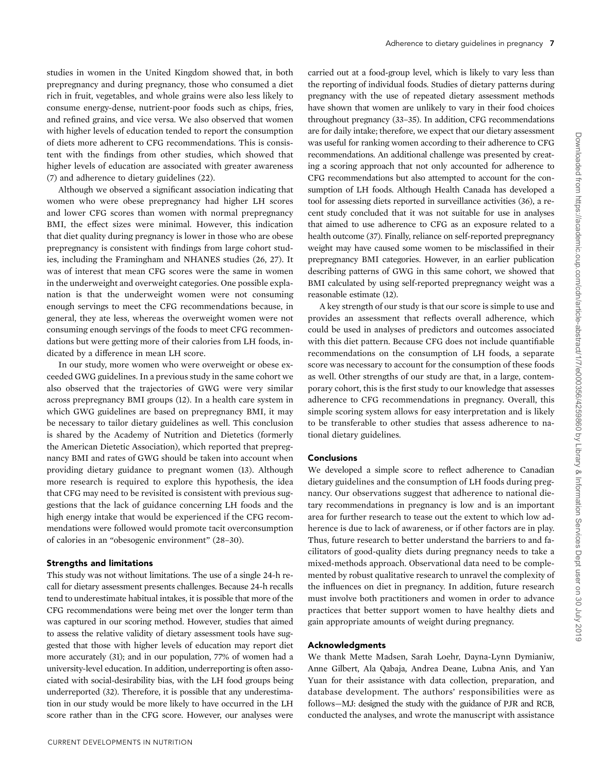studies in women in the United Kingdom showed that, in both prepregnancy and during pregnancy, those who consumed a diet rich in fruit, vegetables, and whole grains were also less likely to consume energy-dense, nutrient-poor foods such as chips, fries, and refined grains, and vice versa. We also observed that women with higher levels of education tended to report the consumption of diets more adherent to CFG recommendations. This is consistent with the findings from other studies, which showed that higher levels of education are associated with greater awareness (7) and adherence to dietary guidelines (22).

Although we observed a significant association indicating that women who were obese prepregnancy had higher LH scores and lower CFG scores than women with normal prepregnancy BMI, the effect sizes were minimal. However, this indication that diet quality during pregnancy is lower in those who are obese prepregnancy is consistent with findings from large cohort studies, including the Framingham and NHANES studies (26, 27). It was of interest that mean CFG scores were the same in women in the underweight and overweight categories. One possible explanation is that the underweight women were not consuming enough servings to meet the CFG recommendations because, in general, they ate less, whereas the overweight women were not consuming enough servings of the foods to meet CFG recommendations but were getting more of their calories from LH foods, indicated by a difference in mean LH score.

In our study, more women who were overweight or obese exceeded GWG guidelines. In a previous study in the same cohort we also observed that the trajectories of GWG were very similar across prepregnancy BMI groups (12). In a health care system in which GWG guidelines are based on prepregnancy BMI, it may be necessary to tailor dietary guidelines as well. This conclusion is shared by the Academy of Nutrition and Dietetics (formerly the American Dietetic Association), which reported that prepregnancy BMI and rates of GWG should be taken into account when providing dietary guidance to pregnant women (13). Although more research is required to explore this hypothesis, the idea that CFG may need to be revisited is consistent with previous suggestions that the lack of guidance concerning LH foods and the high energy intake that would be experienced if the CFG recommendations were followed would promote tacit overconsumption of calories in an "obesogenic environment" (28–30).

### Strengths and limitations

This study was not without limitations. The use of a single 24-h recall for dietary assessment presents challenges. Because 24-h recalls tend to underestimate habitual intakes, it is possible that more of the CFG recommendations were being met over the longer term than was captured in our scoring method. However, studies that aimed to assess the relative validity of dietary assessment tools have suggested that those with higher levels of education may report diet more accurately (31); and in our population, 77% of women had a university-level education. In addition, underreporting is often associated with social-desirability bias, with the LH food groups being underreported (32). Therefore, it is possible that any underestimation in our study would be more likely to have occurred in the LH score rather than in the CFG score. However, our analyses were

carried out at a food-group level, which is likely to vary less than the reporting of individual foods. Studies of dietary patterns during pregnancy with the use of repeated dietary assessment methods have shown that women are unlikely to vary in their food choices throughout pregnancy (33–35). In addition, CFG recommendations are for daily intake; therefore, we expect that our dietary assessment was useful for ranking women according to their adherence to CFG recommendations. An additional challenge was presented by creating a scoring approach that not only accounted for adherence to CFG recommendations but also attempted to account for the consumption of LH foods. Although Health Canada has developed a tool for assessing diets reported in surveillance activities (36), a recent study concluded that it was not suitable for use in analyses that aimed to use adherence to CFG as an exposure related to a health outcome (37). Finally, reliance on self-reported prepregnancy weight may have caused some women to be misclassified in their prepregnancy BMI categories. However, in an earlier publication describing patterns of GWG in this same cohort, we showed that BMI calculated by using self-reported prepregnancy weight was a reasonable estimate (12).

A key strength of our study is that our score is simple to use and provides an assessment that reflects overall adherence, which could be used in analyses of predictors and outcomes associated with this diet pattern. Because CFG does not include quantifiable recommendations on the consumption of LH foods, a separate score was necessary to account for the consumption of these foods as well. Other strengths of our study are that, in a large, contemporary cohort, this is the first study to our knowledge that assesses adherence to CFG recommendations in pregnancy. Overall, this simple scoring system allows for easy interpretation and is likely to be transferable to other studies that assess adherence to national dietary guidelines.

#### Conclusions

We developed a simple score to reflect adherence to Canadian dietary guidelines and the consumption of LH foods during pregnancy. Our observations suggest that adherence to national dietary recommendations in pregnancy is low and is an important area for further research to tease out the extent to which low adherence is due to lack of awareness, or if other factors are in play. Thus, future research to better understand the barriers to and facilitators of good-quality diets during pregnancy needs to take a mixed-methods approach. Observational data need to be complemented by robust qualitative research to unravel the complexity of the influences on diet in pregnancy. In addition, future research must involve both practitioners and women in order to advance practices that better support women to have healthy diets and gain appropriate amounts of weight during pregnancy.

### Acknowledgments

We thank Mette Madsen, Sarah Loehr, Dayna-Lynn Dymianiw, Anne Gilbert, Ala Qabaja, Andrea Deane, Lubna Anis, and Yan Yuan for their assistance with data collection, preparation, and database development. The authors' responsibilities were as follows—MJ: designed the study with the guidance of PJR and RCB, conducted the analyses, and wrote the manuscript with assistance